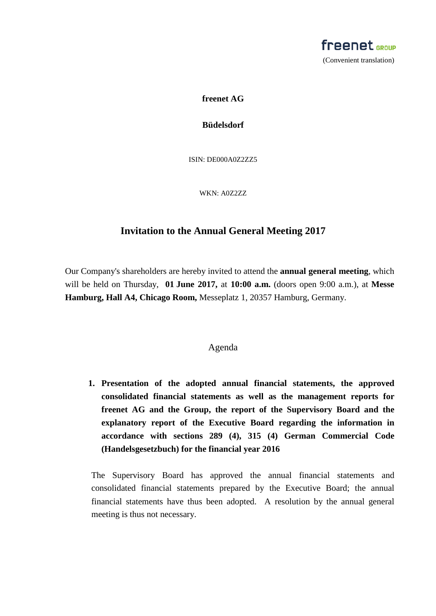

**freenet AG**

**Büdelsdorf**

ISIN: DE000A0Z2ZZ5

WKN: A0Z2ZZ

# **Invitation to the Annual General Meeting 2017**

Our Company's shareholders are hereby invited to attend the **annual general meeting**, which will be held on Thursday, **01 June 2017,** at **10:00 a.m.** (doors open 9:00 a.m.), at **Messe Hamburg, Hall A4, Chicago Room,** Messeplatz 1, 20357 Hamburg, Germany.

### Agenda

**1. Presentation of the adopted annual financial statements, the approved consolidated financial statements as well as the management reports for freenet AG and the Group, the report of the Supervisory Board and the explanatory report of the Executive Board regarding the information in accordance with sections 289 (4), 315 (4) German Commercial Code (Handelsgesetzbuch) for the financial year 2016**

The Supervisory Board has approved the annual financial statements and consolidated financial statements prepared by the Executive Board; the annual financial statements have thus been adopted. A resolution by the annual general meeting is thus not necessary.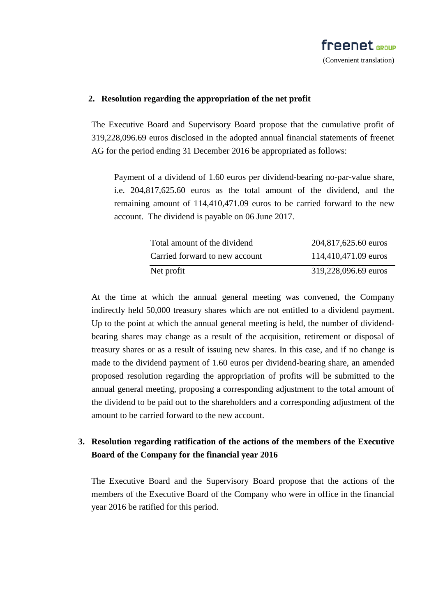### **2. Resolution regarding the appropriation of the net profit**

The Executive Board and Supervisory Board propose that the cumulative profit of 319,228,096.69 euros disclosed in the adopted annual financial statements of freenet AG for the period ending 31 December 2016 be appropriated as follows:

Payment of a dividend of 1.60 euros per dividend-bearing no-par-value share, i.e. 204,817,625.60 euros as the total amount of the dividend, and the remaining amount of 114,410,471.09 euros to be carried forward to the new account. The dividend is payable on 06 June 2017.

| Total amount of the dividend   | 204,817,625.60 euros |
|--------------------------------|----------------------|
| Carried forward to new account | 114,410,471.09 euros |
| Net profit                     | 319,228,096.69 euros |

At the time at which the annual general meeting was convened, the Company indirectly held 50,000 treasury shares which are not entitled to a dividend payment. Up to the point at which the annual general meeting is held, the number of dividendbearing shares may change as a result of the acquisition, retirement or disposal of treasury shares or as a result of issuing new shares. In this case, and if no change is made to the dividend payment of 1.60 euros per dividend-bearing share, an amended proposed resolution regarding the appropriation of profits will be submitted to the annual general meeting, proposing a corresponding adjustment to the total amount of the dividend to be paid out to the shareholders and a corresponding adjustment of the amount to be carried forward to the new account.

# **3. Resolution regarding ratification of the actions of the members of the Executive Board of the Company for the financial year 2016**

The Executive Board and the Supervisory Board propose that the actions of the members of the Executive Board of the Company who were in office in the financial year 2016 be ratified for this period.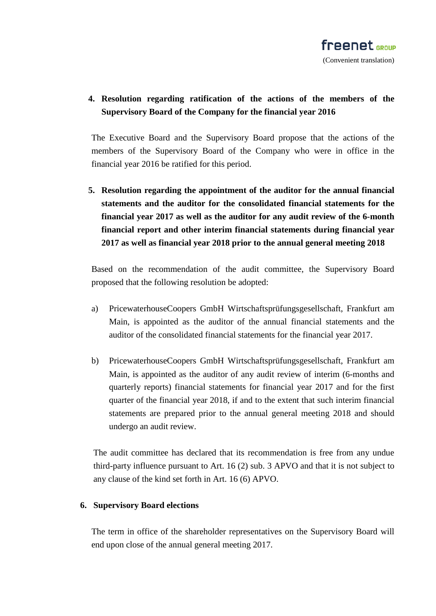# **4. Resolution regarding ratification of the actions of the members of the Supervisory Board of the Company for the financial year 2016**

The Executive Board and the Supervisory Board propose that the actions of the members of the Supervisory Board of the Company who were in office in the financial year 2016 be ratified for this period.

**5. Resolution regarding the appointment of the auditor for the annual financial statements and the auditor for the consolidated financial statements for the financial year 2017 as well as the auditor for any audit review of the 6-month financial report and other interim financial statements during financial year 2017 as well as financial year 2018 prior to the annual general meeting 2018** 

Based on the recommendation of the audit committee, the Supervisory Board proposed that the following resolution be adopted:

- a) PricewaterhouseCoopers GmbH Wirtschaftsprüfungsgesellschaft, Frankfurt am Main, is appointed as the auditor of the annual financial statements and the auditor of the consolidated financial statements for the financial year 2017.
- b) PricewaterhouseCoopers GmbH Wirtschaftsprüfungsgesellschaft, Frankfurt am Main, is appointed as the auditor of any audit review of interim (6-months and quarterly reports) financial statements for financial year 2017 and for the first quarter of the financial year 2018, if and to the extent that such interim financial statements are prepared prior to the annual general meeting 2018 and should undergo an audit review.

The audit committee has declared that its recommendation is free from any undue third-party influence pursuant to Art. 16 (2) sub. 3 APVO and that it is not subject to any clause of the kind set forth in Art. 16 (6) APVO.

## **6. Supervisory Board elections**

The term in office of the shareholder representatives on the Supervisory Board will end upon close of the annual general meeting 2017.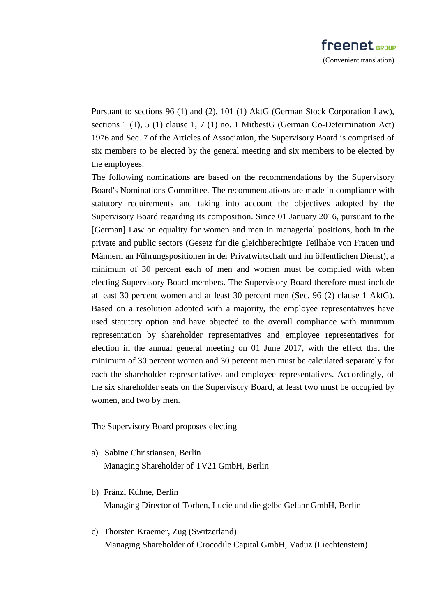Pursuant to sections 96 (1) and (2), 101 (1) AktG (German Stock Corporation Law), sections 1 (1), 5 (1) clause 1, 7 (1) no. 1 MitbestG (German Co-Determination Act) 1976 and Sec. 7 of the Articles of Association, the Supervisory Board is comprised of six members to be elected by the general meeting and six members to be elected by the employees.

The following nominations are based on the recommendations by the Supervisory Board's Nominations Committee. The recommendations are made in compliance with statutory requirements and taking into account the objectives adopted by the Supervisory Board regarding its composition. Since 01 January 2016, pursuant to the [German] Law on equality for women and men in managerial positions, both in the private and public sectors (Gesetz für die gleichberechtigte Teilhabe von Frauen und Männern an Führungspositionen in der Privatwirtschaft und im öffentlichen Dienst), a minimum of 30 percent each of men and women must be complied with when electing Supervisory Board members. The Supervisory Board therefore must include at least 30 percent women and at least 30 percent men (Sec. 96 (2) clause 1 AktG). Based on a resolution adopted with a majority, the employee representatives have used statutory option and have objected to the overall compliance with minimum representation by shareholder representatives and employee representatives for election in the annual general meeting on 01 June 2017, with the effect that the minimum of 30 percent women and 30 percent men must be calculated separately for each the shareholder representatives and employee representatives. Accordingly, of the six shareholder seats on the Supervisory Board, at least two must be occupied by women, and two by men.

The Supervisory Board proposes electing

- a) Sabine Christiansen, Berlin Managing Shareholder of TV21 GmbH, Berlin
- b) Fränzi Kühne, Berlin Managing Director of Torben, Lucie und die gelbe Gefahr GmbH, Berlin
- c) Thorsten Kraemer, Zug (Switzerland) Managing Shareholder of Crocodile Capital GmbH, Vaduz (Liechtenstein)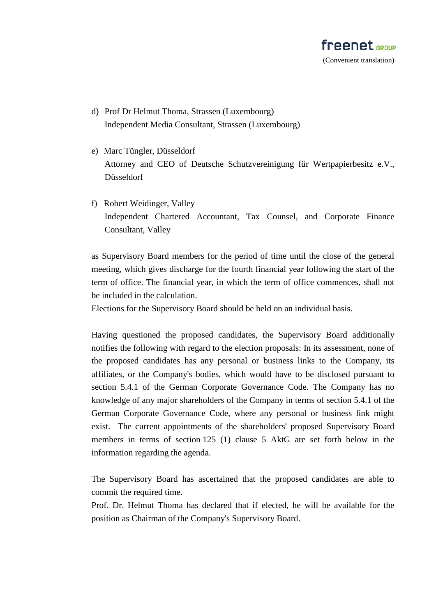

- d) Prof Dr Helmut Thoma, Strassen (Luxembourg) Independent Media Consultant, Strassen (Luxembourg)
- e) Marc Tüngler, Düsseldorf Attorney and CEO of Deutsche Schutzvereinigung für Wertpapierbesitz e.V., Düsseldorf
- f) Robert Weidinger, Valley Independent Chartered Accountant, Tax Counsel, and Corporate Finance Consultant, Valley

as Supervisory Board members for the period of time until the close of the general meeting, which gives discharge for the fourth financial year following the start of the term of office. The financial year, in which the term of office commences, shall not be included in the calculation.

Elections for the Supervisory Board should be held on an individual basis.

Having questioned the proposed candidates, the Supervisory Board additionally notifies the following with regard to the election proposals: In its assessment, none of the proposed candidates has any personal or business links to the Company, its affiliates, or the Company's bodies, which would have to be disclosed pursuant to section 5.4.1 of the German Corporate Governance Code. The Company has no knowledge of any major shareholders of the Company in terms of section 5.4.1 of the German Corporate Governance Code, where any personal or business link might exist. The current appointments of the shareholders' proposed Supervisory Board members in terms of section 125 (1) clause 5 AktG are set forth below in the information regarding the agenda.

The Supervisory Board has ascertained that the proposed candidates are able to commit the required time.

Prof. Dr. Helmut Thoma has declared that if elected, he will be available for the position as Chairman of the Company's Supervisory Board.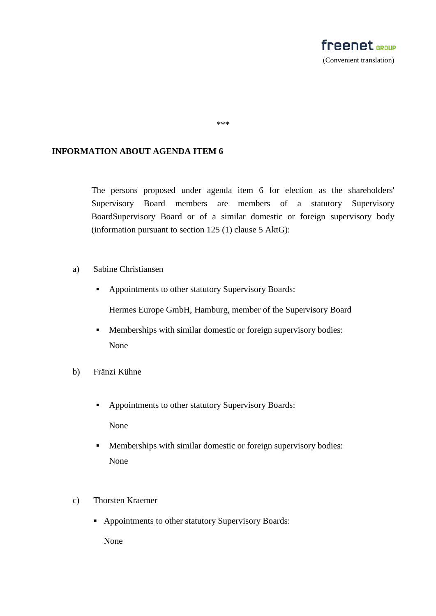

#### \*\*\*

### **INFORMATION ABOUT AGENDA ITEM 6**

The persons proposed under agenda item 6 for election as the shareholders' Supervisory Board members are members of a statutory Supervisory BoardSupervisory Board or of a similar domestic or foreign supervisory body (information pursuant to section 125 (1) clause 5 AktG):

- a) Sabine Christiansen
	- Appointments to other statutory Supervisory Boards:

Hermes Europe GmbH, Hamburg, member of the Supervisory Board

- Memberships with similar domestic or foreign supervisory bodies: None
- b) Fränzi Kühne
	- Appointments to other statutory Supervisory Boards:

None

- Memberships with similar domestic or foreign supervisory bodies: None
- c) Thorsten Kraemer
	- Appointments to other statutory Supervisory Boards:

None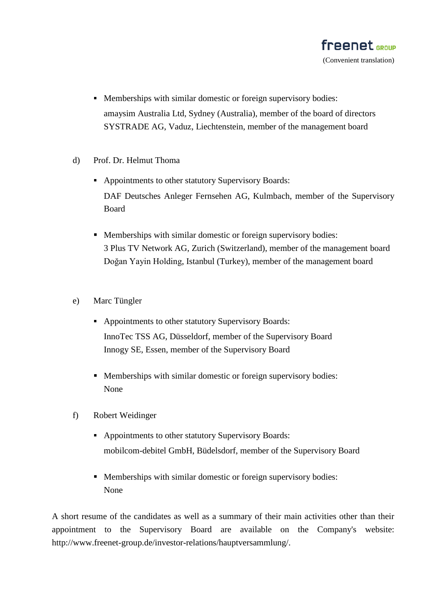- Memberships with similar domestic or foreign supervisory bodies: amaysim Australia Ltd, Sydney (Australia), member of the board of directors SYSTRADE AG, Vaduz, Liechtenstein, member of the management board
- d) Prof. Dr. Helmut Thoma
	- **Appointments to other statutory Supervisory Boards:** DAF Deutsches Anleger Fernsehen AG, Kulmbach, member of the Supervisory Board
	- Memberships with similar domestic or foreign supervisory bodies: 3 Plus TV Network AG, Zurich (Switzerland), member of the management board [Doğan Yayin Holding](http://www.doganholding.com.tr/enyasal.html), Istanbul (Turkey), member of the management board
- e) Marc Tüngler
	- Appointments to other statutory Supervisory Boards: InnoTec TSS AG, Düsseldorf, member of the Supervisory Board Innogy SE, Essen, member of the Supervisory Board
	- Memberships with similar domestic or foreign supervisory bodies: None
- f) Robert Weidinger
	- **Appointments to other statutory Supervisory Boards:** mobilcom-debitel GmbH, Büdelsdorf, member of the Supervisory Board
	- Memberships with similar domestic or foreign supervisory bodies: None

A short resume of the candidates as well as a summary of their main activities other than their appointment to the Supervisory Board are available on the Company's website: http://www.freenet-group.de/investor-relations/hauptversammlung/.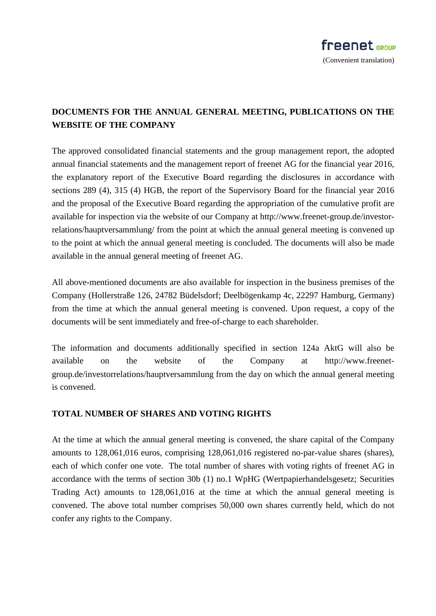# **DOCUMENTS FOR THE ANNUAL GENERAL MEETING, PUBLICATIONS ON THE WEBSITE OF THE COMPANY**

The approved consolidated financial statements and the group management report, the adopted annual financial statements and the management report of freenet AG for the financial year 2016, the explanatory report of the Executive Board regarding the disclosures in accordance with sections 289 (4), 315 (4) HGB, the report of the Supervisory Board for the financial year 2016 and the proposal of the Executive Board regarding the appropriation of the cumulative profit are available for inspection via the website of our Company at http://www.freenet-group.de/investorrelations/hauptversammlung/ from the point at which the annual general meeting is convened up to the point at which the annual general meeting is concluded. The documents will also be made available in the annual general meeting of freenet AG.

All above-mentioned documents are also available for inspection in the business premises of the Company (Hollerstraße 126, 24782 Büdelsdorf; Deelbögenkamp 4c, 22297 Hamburg, Germany) from the time at which the annual general meeting is convened. Upon request, a copy of the documents will be sent immediately and free-of-charge to each shareholder.

The information and documents additionally specified in section 124a AktG will also be available on the website of the Company at http://www.freenetgroup.de/investorrelations/hauptversammlung from the day on which the annual general meeting is convened.

## **TOTAL NUMBER OF SHARES AND VOTING RIGHTS**

At the time at which the annual general meeting is convened, the share capital of the Company amounts to 128,061,016 euros, comprising 128,061,016 registered no-par-value shares (shares), each of which confer one vote. The total number of shares with voting rights of freenet AG in accordance with the terms of section 30b (1) no.1 WpHG (Wertpapierhandelsgesetz; Securities Trading Act) amounts to 128,061,016 at the time at which the annual general meeting is convened. The above total number comprises 50,000 own shares currently held, which do not confer any rights to the Company.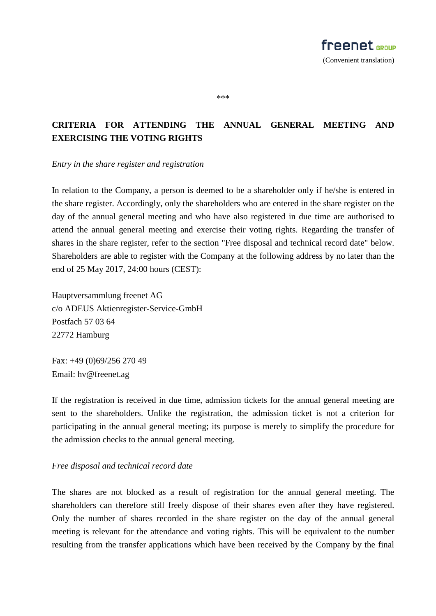\*\*\*

# **CRITERIA FOR ATTENDING THE ANNUAL GENERAL MEETING AND EXERCISING THE VOTING RIGHTS**

*Entry in the share register and registration*

In relation to the Company, a person is deemed to be a shareholder only if he/she is entered in the share register. Accordingly, only the shareholders who are entered in the share register on the day of the annual general meeting and who have also registered in due time are authorised to attend the annual general meeting and exercise their voting rights. Regarding the transfer of shares in the share register, refer to the section "Free disposal and technical record date" below. Shareholders are able to register with the Company at the following address by no later than the end of 25 May 2017, 24:00 hours (CEST):

Hauptversammlung freenet AG c/o ADEUS Aktienregister-Service-GmbH Postfach 57 03 64 22772 Hamburg

Fax: +49 (0)69/256 270 49 Email: hv@freenet.ag

If the registration is received in due time, admission tickets for the annual general meeting are sent to the shareholders. Unlike the registration, the admission ticket is not a criterion for participating in the annual general meeting; its purpose is merely to simplify the procedure for the admission checks to the annual general meeting.

## *Free disposal and technical record date*

The shares are not blocked as a result of registration for the annual general meeting. The shareholders can therefore still freely dispose of their shares even after they have registered. Only the number of shares recorded in the share register on the day of the annual general meeting is relevant for the attendance and voting rights. This will be equivalent to the number resulting from the transfer applications which have been received by the Company by the final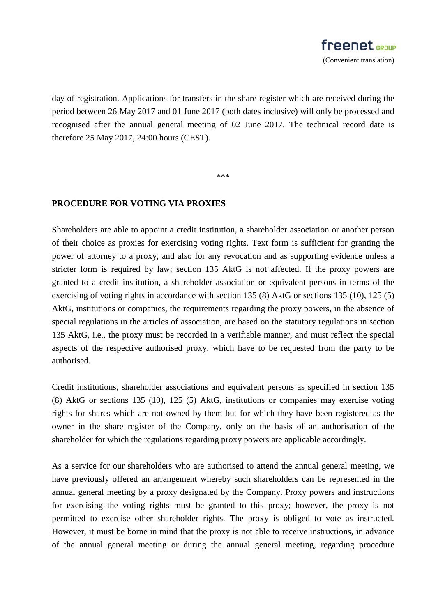day of registration. Applications for transfers in the share register which are received during the period between 26 May 2017 and 01 June 2017 (both dates inclusive) will only be processed and recognised after the annual general meeting of 02 June 2017. The technical record date is therefore 25 May 2017, 24:00 hours (CEST).

\*\*\*

### **PROCEDURE FOR VOTING VIA PROXIES**

Shareholders are able to appoint a credit institution, a shareholder association or another person of their choice as proxies for exercising voting rights. Text form is sufficient for granting the power of attorney to a proxy, and also for any revocation and as supporting evidence unless a stricter form is required by law; section 135 AktG is not affected. If the proxy powers are granted to a credit institution, a shareholder association or equivalent persons in terms of the exercising of voting rights in accordance with section 135 (8) AktG or sections 135 (10), 125 (5) AktG, institutions or companies, the requirements regarding the proxy powers, in the absence of special regulations in the articles of association, are based on the statutory regulations in section 135 AktG, i.e., the proxy must be recorded in a verifiable manner, and must reflect the special aspects of the respective authorised proxy, which have to be requested from the party to be authorised.

Credit institutions, shareholder associations and equivalent persons as specified in section 135 (8) AktG or sections 135 (10), 125 (5) AktG, institutions or companies may exercise voting rights for shares which are not owned by them but for which they have been registered as the owner in the share register of the Company, only on the basis of an authorisation of the shareholder for which the regulations regarding proxy powers are applicable accordingly.

As a service for our shareholders who are authorised to attend the annual general meeting, we have previously offered an arrangement whereby such shareholders can be represented in the annual general meeting by a proxy designated by the Company. Proxy powers and instructions for exercising the voting rights must be granted to this proxy; however, the proxy is not permitted to exercise other shareholder rights. The proxy is obliged to vote as instructed. However, it must be borne in mind that the proxy is not able to receive instructions, in advance of the annual general meeting or during the annual general meeting, regarding procedure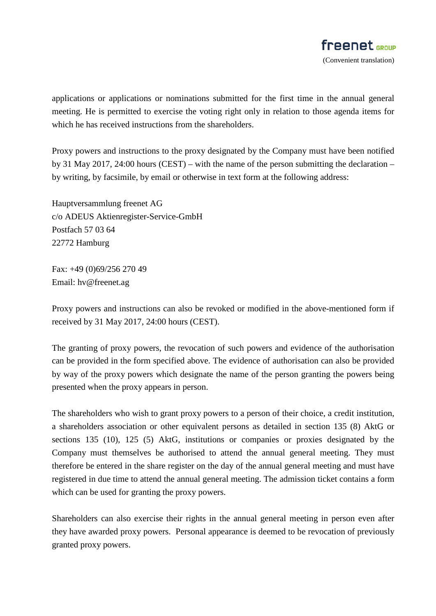applications or applications or nominations submitted for the first time in the annual general meeting. He is permitted to exercise the voting right only in relation to those agenda items for which he has received instructions from the shareholders.

Proxy powers and instructions to the proxy designated by the Company must have been notified by 31 May 2017, 24:00 hours (CEST) – with the name of the person submitting the declaration – by writing, by facsimile, by email or otherwise in text form at the following address:

Hauptversammlung freenet AG c/o ADEUS Aktienregister-Service-GmbH Postfach 57 03 64 22772 Hamburg

Fax: +49 (0)69/256 270 49 Email: hv@freenet.ag

Proxy powers and instructions can also be revoked or modified in the above-mentioned form if received by 31 May 2017, 24:00 hours (CEST).

The granting of proxy powers, the revocation of such powers and evidence of the authorisation can be provided in the form specified above. The evidence of authorisation can also be provided by way of the proxy powers which designate the name of the person granting the powers being presented when the proxy appears in person.

The shareholders who wish to grant proxy powers to a person of their choice, a credit institution, a shareholders association or other equivalent persons as detailed in section 135 (8) AktG or sections 135 (10), 125 (5) AktG, institutions or companies or proxies designated by the Company must themselves be authorised to attend the annual general meeting. They must therefore be entered in the share register on the day of the annual general meeting and must have registered in due time to attend the annual general meeting. The admission ticket contains a form which can be used for granting the proxy powers.

Shareholders can also exercise their rights in the annual general meeting in person even after they have awarded proxy powers. Personal appearance is deemed to be revocation of previously granted proxy powers.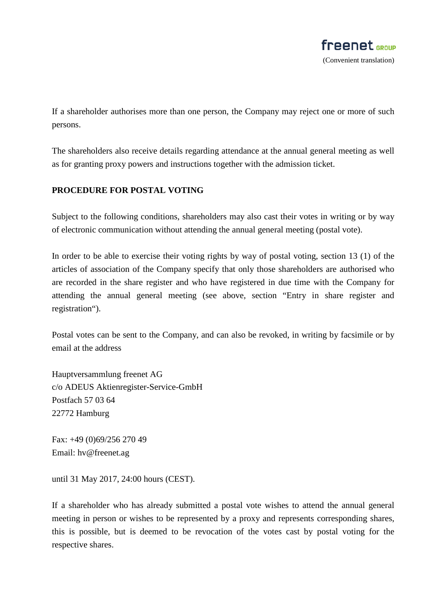

If a shareholder authorises more than one person, the Company may reject one or more of such persons.

The shareholders also receive details regarding attendance at the annual general meeting as well as for granting proxy powers and instructions together with the admission ticket.

# **PROCEDURE FOR POSTAL VOTING**

Subject to the following conditions, shareholders may also cast their votes in writing or by way of electronic communication without attending the annual general meeting (postal vote).

In order to be able to exercise their voting rights by way of postal voting, section 13 (1) of the articles of association of the Company specify that only those shareholders are authorised who are recorded in the share register and who have registered in due time with the Company for attending the annual general meeting (see above, section "Entry in share register and registration").

Postal votes can be sent to the Company, and can also be revoked, in writing by facsimile or by email at the address

Hauptversammlung freenet AG c/o ADEUS Aktienregister-Service-GmbH Postfach 57 03 64 22772 Hamburg

Fax: +49 (0)69/256 270 49 Email: hv@freenet.ag

until 31 May 2017, 24:00 hours (CEST).

If a shareholder who has already submitted a postal vote wishes to attend the annual general meeting in person or wishes to be represented by a proxy and represents corresponding shares, this is possible, but is deemed to be revocation of the votes cast by postal voting for the respective shares.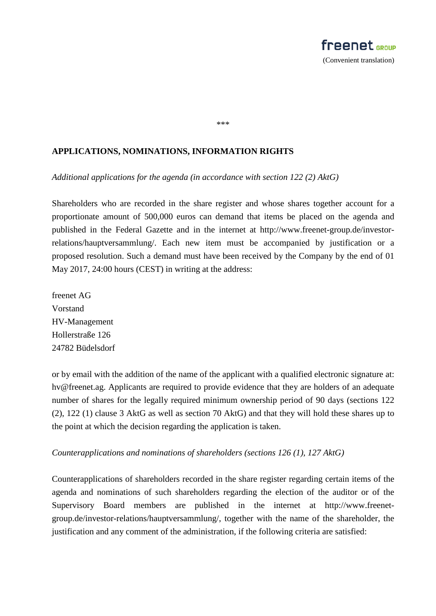

#### \*\*\*

### **APPLICATIONS, NOMINATIONS, INFORMATION RIGHTS**

*Additional applications for the agenda (in accordance with section 122 (2) AktG)*

Shareholders who are recorded in the share register and whose shares together account for a proportionate amount of 500,000 euros can demand that items be placed on the agenda and published in the Federal Gazette and in the internet at http://www.freenet-group.de/investorrelations/hauptversammlung/. Each new item must be accompanied by justification or a proposed resolution. Such a demand must have been received by the Company by the end of 01 May 2017, 24:00 hours (CEST) in writing at the address:

freenet AG Vorstand HV-Management Hollerstraße 126 24782 Büdelsdorf

or by email with the addition of the name of the applicant with a qualified electronic signature at: hv@freenet.ag. Applicants are required to provide evidence that they are holders of an adequate number of shares for the legally required minimum ownership period of 90 days (sections 122 (2), 122 (1) clause 3 AktG as well as section 70 AktG) and that they will hold these shares up to the point at which the decision regarding the application is taken.

#### *Counterapplications and nominations of shareholders (sections 126 (1), 127 AktG)*

Counterapplications of shareholders recorded in the share register regarding certain items of the agenda and nominations of such shareholders regarding the election of the auditor or of the Supervisory Board members are published in the internet at http://www.freenetgroup.de/investor-relations/hauptversammlung/, together with the name of the shareholder, the justification and any comment of the administration, if the following criteria are satisfied: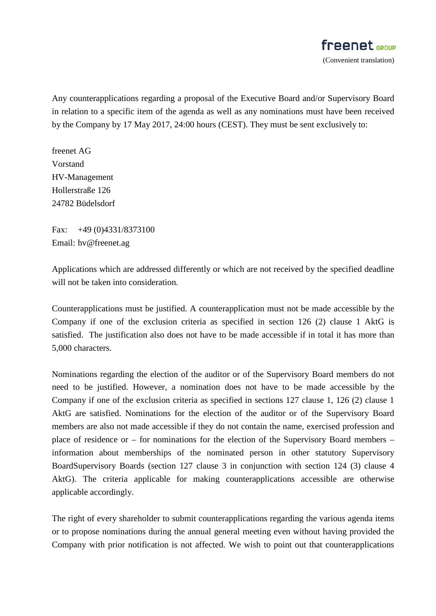Any counterapplications regarding a proposal of the Executive Board and/or Supervisory Board in relation to a specific item of the agenda as well as any nominations must have been received by the Company by 17 May 2017, 24:00 hours (CEST). They must be sent exclusively to:

freenet AG Vorstand HV-Management Hollerstraße 126 24782 Büdelsdorf

Fax: +49 (0)4331/8373100 Email: hv@freenet.ag

Applications which are addressed differently or which are not received by the specified deadline will not be taken into consideration.

Counterapplications must be justified. A counterapplication must not be made accessible by the Company if one of the exclusion criteria as specified in section 126 (2) clause 1 AktG is satisfied. The justification also does not have to be made accessible if in total it has more than 5,000 characters.

Nominations regarding the election of the auditor or of the Supervisory Board members do not need to be justified. However, a nomination does not have to be made accessible by the Company if one of the exclusion criteria as specified in sections 127 clause 1, 126 (2) clause 1 AktG are satisfied. Nominations for the election of the auditor or of the Supervisory Board members are also not made accessible if they do not contain the name, exercised profession and place of residence or – for nominations for the election of the Supervisory Board members – information about memberships of the nominated person in other statutory Supervisory BoardSupervisory Boards (section 127 clause 3 in conjunction with section 124 (3) clause 4 AktG). The criteria applicable for making counterapplications accessible are otherwise applicable accordingly.

The right of every shareholder to submit counterapplications regarding the various agenda items or to propose nominations during the annual general meeting even without having provided the Company with prior notification is not affected. We wish to point out that counterapplications